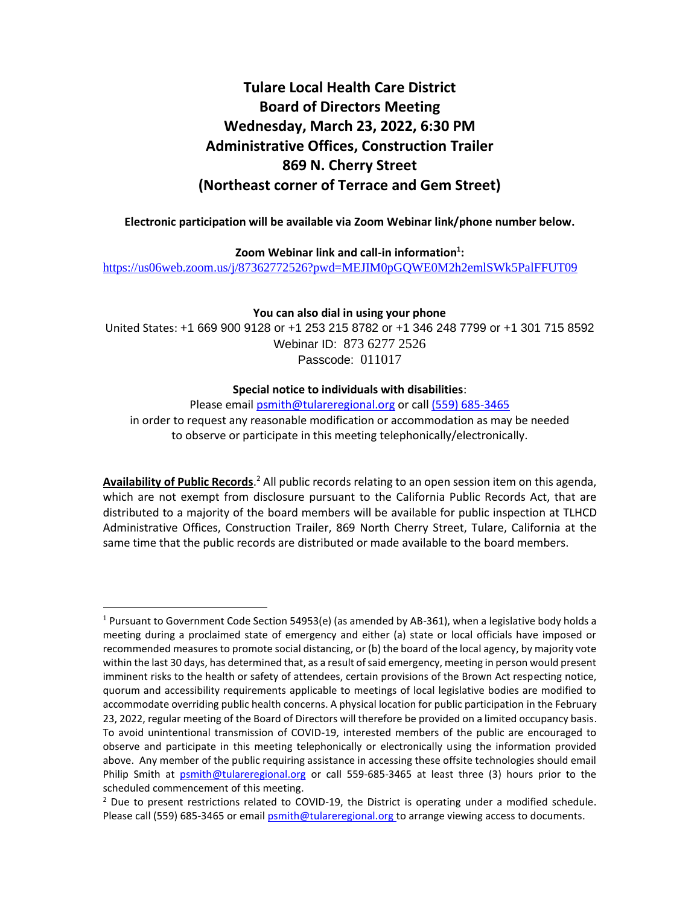# **Tulare Local Health Care District Board of Directors Meeting Wednesday, March 23, 2022, 6:30 PM Administrative Offices, Construction Trailer 869 N. Cherry Street (Northeast corner of Terrace and Gem Street)**

**Electronic participation will be available via Zoom Webinar link/phone number below.**

**Zoom Webinar link and call-in information<sup>1</sup> :**

<https://us06web.zoom.us/j/87362772526?pwd=MEJIM0pGQWE0M2h2emlSWk5PalFFUT09>

**You can also dial in using your phone**

United States: +1 669 900 9128 or +1 253 215 8782 or +1 346 248 7799 or +1 301 715 8592 Webinar ID: 873 6277 2526 Passcode: 011017

#### **Special notice to individuals with disabilities**:

Please email [psmith@tulareregional.org](mailto:sormonde@tulareregional.org) or call (559) 685-3465 in order to request any reasonable modification or accommodation as may be needed to observe or participate in this meeting telephonically/electronically.

Availability of Public Records.<sup>2</sup> All public records relating to an open session item on this agenda, which are not exempt from disclosure pursuant to the California Public Records Act, that are distributed to a majority of the board members will be available for public inspection at TLHCD Administrative Offices, Construction Trailer, 869 North Cherry Street, Tulare, California at the same time that the public records are distributed or made available to the board members.

 $1$  Pursuant to Government Code Section 54953(e) (as amended by AB-361), when a legislative body holds a meeting during a proclaimed state of emergency and either (a) state or local officials have imposed or recommended measures to promote social distancing, or (b) the board of the local agency, by majority vote within the last 30 days, has determined that, as a result of said emergency, meeting in person would present imminent risks to the health or safety of attendees, certain provisions of the Brown Act respecting notice, quorum and accessibility requirements applicable to meetings of local legislative bodies are modified to accommodate overriding public health concerns. A physical location for public participation in the February 23, 2022, regular meeting of the Board of Directors will therefore be provided on a limited occupancy basis. To avoid unintentional transmission of COVID-19, interested members of the public are encouraged to observe and participate in this meeting telephonically or electronically using the information provided above. Any member of the public requiring assistance in accessing these offsite technologies should email Philip Smith at [psmith@tulareregional.org](mailto:kmelendez@tulareregional.org) or call 559-685-3465 at least three (3) hours prior to the scheduled commencement of this meeting.

 $<sup>2</sup>$  Due to present restrictions related to COVID-19, the District is operating under a modified schedule.</sup> Please call (559) 685-3465 or email **psmith@tulareregional.org** to arrange viewing access to documents.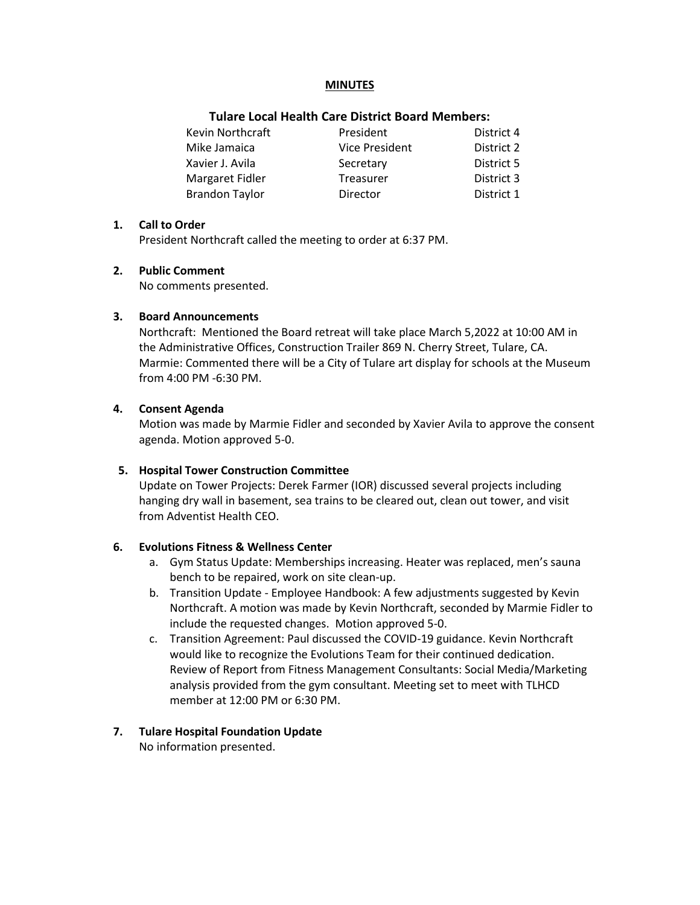#### **MINUTES**

#### **Tulare Local Health Care District Board Members:**

| Kevin Northcraft      | President             | District 4 |
|-----------------------|-----------------------|------------|
| Mike Jamaica          | <b>Vice President</b> | District 2 |
| Xavier J. Avila       | Secretary             | District 5 |
| Margaret Fidler       | <b>Treasurer</b>      | District 3 |
| <b>Brandon Taylor</b> | Director              | District 1 |

#### **1. Call to Order**

President Northcraft called the meeting to order at 6:37 PM.

#### **2. Public Comment**

No comments presented.

#### **3. Board Announcements**

Northcraft: Mentioned the Board retreat will take place March 5,2022 at 10:00 AM in the Administrative Offices, Construction Trailer 869 N. Cherry Street, Tulare, CA. Marmie: Commented there will be a City of Tulare art display for schools at the Museum from 4:00 PM -6:30 PM.

#### **4. Consent Agenda**

Motion was made by Marmie Fidler and seconded by Xavier Avila to approve the consent agenda. Motion approved 5-0.

## **5. Hospital Tower Construction Committee**

Update on Tower Projects: Derek Farmer (IOR) discussed several projects including hanging dry wall in basement, sea trains to be cleared out, clean out tower, and visit from Adventist Health CEO.

## **6. Evolutions Fitness & Wellness Center**

- a. Gym Status Update: Memberships increasing. Heater was replaced, men's sauna bench to be repaired, work on site clean-up.
- b. Transition Update Employee Handbook: A few adjustments suggested by Kevin Northcraft. A motion was made by Kevin Northcraft, seconded by Marmie Fidler to include the requested changes. Motion approved 5-0.
- c. Transition Agreement: Paul discussed the COVID-19 guidance. Kevin Northcraft would like to recognize the Evolutions Team for their continued dedication. Review of Report from Fitness Management Consultants: Social Media/Marketing analysis provided from the gym consultant. Meeting set to meet with TLHCD member at 12:00 PM or 6:30 PM.

## **7. Tulare Hospital Foundation Update**

No information presented.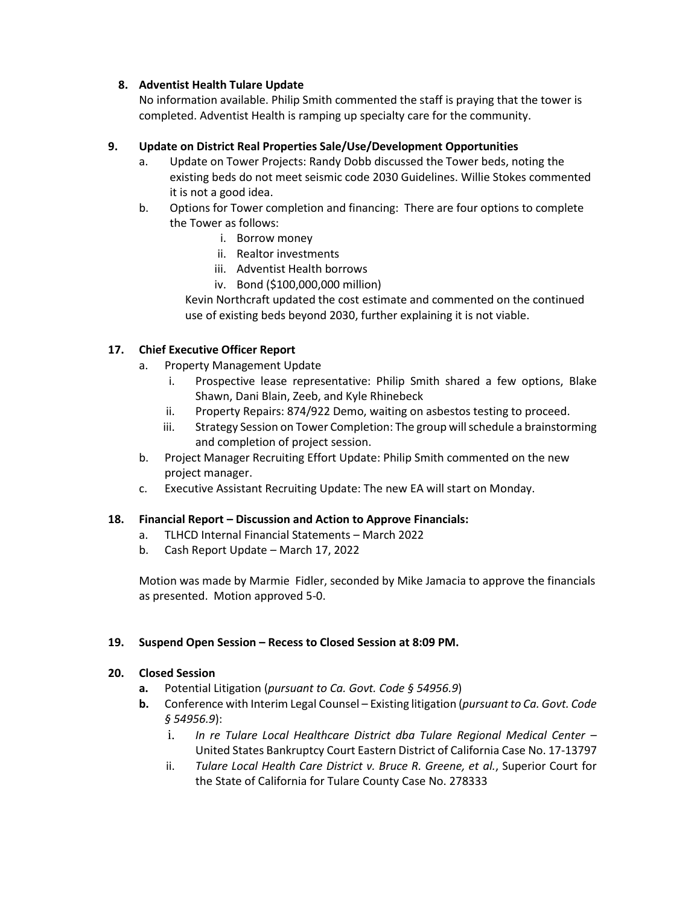# **8. Adventist Health Tulare Update**

No information available. Philip Smith commented the staff is praying that the tower is completed. Adventist Health is ramping up specialty care for the community.

# **9. Update on District Real Properties Sale/Use/Development Opportunities**

- a. Update on Tower Projects: Randy Dobb discussed the Tower beds, noting the existing beds do not meet seismic code 2030 Guidelines. Willie Stokes commented it is not a good idea.
- b. Options for Tower completion and financing: There are four options to complete the Tower as follows:
	- i. Borrow money
	- ii. Realtor investments
	- iii. Adventist Health borrows
	- iv. Bond (\$100,000,000 million)

Kevin Northcraft updated the cost estimate and commented on the continued use of existing beds beyond 2030, further explaining it is not viable.

# **17. Chief Executive Officer Report**

- a. Property Management Update
	- i. Prospective lease representative: Philip Smith shared a few options, Blake Shawn, Dani Blain, Zeeb, and Kyle Rhinebeck
	- ii. Property Repairs: 874/922 Demo, waiting on asbestos testing to proceed.
	- iii. Strategy Session on Tower Completion: The group will schedule a brainstorming and completion of project session.
- b. Project Manager Recruiting Effort Update: Philip Smith commented on the new project manager.
- c. Executive Assistant Recruiting Update: The new EA will start on Monday.

## **18. Financial Report – Discussion and Action to Approve Financials:**

- a. TLHCD Internal Financial Statements March 2022
- b. Cash Report Update March 17, 2022

Motion was made by Marmie Fidler, seconded by Mike Jamacia to approve the financials as presented. Motion approved 5-0.

## **19. Suspend Open Session – Recess to Closed Session at 8:09 PM.**

## **20. Closed Session**

- **a.** Potential Litigation (*pursuant to Ca. Govt. Code § 54956.9*)
- **b.** Conference with Interim Legal Counsel Existing litigation (*pursuant to Ca. Govt. Code § 54956.9*):
	- i. *In re Tulare Local Healthcare District dba Tulare Regional Medical Center* United States Bankruptcy Court Eastern District of California Case No. 17-13797
	- ii. *Tulare Local Health Care District v. Bruce R. Greene, et al.*, Superior Court for the State of California for Tulare County Case No. 278333